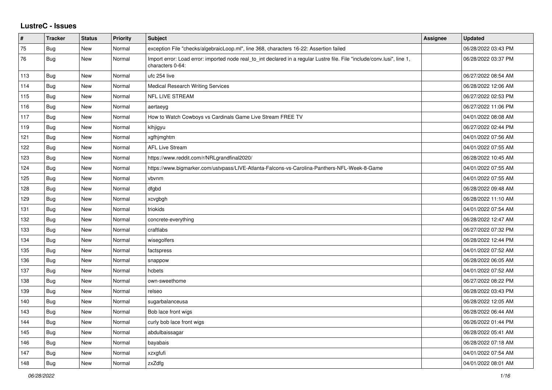## **LustreC - Issues**

| #   | <b>Tracker</b> | <b>Status</b> | <b>Priority</b> | <b>Subject</b>                                                                                                                               | <b>Assignee</b> | <b>Updated</b>      |
|-----|----------------|---------------|-----------------|----------------------------------------------------------------------------------------------------------------------------------------------|-----------------|---------------------|
| 75  | Bug            | New           | Normal          | exception File "checks/algebraicLoop.ml", line 368, characters 16-22: Assertion failed                                                       |                 | 06/28/2022 03:43 PM |
| 76  | Bug            | New           | Normal          | Import error: Load error: imported node real to int declared in a regular Lustre file. File "include/conv.lusi", line 1,<br>characters 0-64: |                 | 06/28/2022 03:37 PM |
| 113 | <b>Bug</b>     | New           | Normal          | ufc 254 live                                                                                                                                 |                 | 06/27/2022 08:54 AM |
| 114 | Bug            | <b>New</b>    | Normal          | <b>Medical Research Writing Services</b>                                                                                                     |                 | 06/28/2022 12:06 AM |
| 115 | Bug            | <b>New</b>    | Normal          | <b>NFL LIVE STREAM</b>                                                                                                                       |                 | 06/27/2022 02:53 PM |
| 116 | <b>Bug</b>     | New           | Normal          | aertaeyg                                                                                                                                     |                 | 06/27/2022 11:06 PM |
| 117 | <b>Bug</b>     | <b>New</b>    | Normal          | How to Watch Cowboys vs Cardinals Game Live Stream FREE TV                                                                                   |                 | 04/01/2022 08:08 AM |
| 119 | Bug            | <b>New</b>    | Normal          | klhjigyu                                                                                                                                     |                 | 06/27/2022 02:44 PM |
| 121 | <b>Bug</b>     | <b>New</b>    | Normal          | xgfhjmghtm                                                                                                                                   |                 | 04/01/2022 07:56 AM |
| 122 | Bug            | <b>New</b>    | Normal          | <b>AFL Live Stream</b>                                                                                                                       |                 | 04/01/2022 07:55 AM |
| 123 | Bug            | New           | Normal          | https://www.reddit.com/r/NRLgrandfinal2020/                                                                                                  |                 | 06/28/2022 10:45 AM |
| 124 | <b>Bug</b>     | New           | Normal          | https://www.bigmarker.com/ustvpass/LIVE-Atlanta-Falcons-vs-Carolina-Panthers-NFL-Week-8-Game                                                 |                 | 04/01/2022 07:55 AM |
| 125 | <b>Bug</b>     | <b>New</b>    | Normal          | vbvnm                                                                                                                                        |                 | 04/01/2022 07:55 AM |
| 128 | Bug            | <b>New</b>    | Normal          | dfgbd                                                                                                                                        |                 | 06/28/2022 09:48 AM |
| 129 | <b>Bug</b>     | <b>New</b>    | Normal          | xcvgbgh                                                                                                                                      |                 | 06/28/2022 11:10 AM |
| 131 | <b>Bug</b>     | New           | Normal          | triokids                                                                                                                                     |                 | 04/01/2022 07:54 AM |
| 132 | Bug            | <b>New</b>    | Normal          | concrete-everything                                                                                                                          |                 | 06/28/2022 12:47 AM |
| 133 | Bug            | <b>New</b>    | Normal          | craftlabs                                                                                                                                    |                 | 06/27/2022 07:32 PM |
| 134 | <b>Bug</b>     | New           | Normal          | wisegolfers                                                                                                                                  |                 | 06/28/2022 12:44 PM |
| 135 | <b>Bug</b>     | <b>New</b>    | Normal          | factspress                                                                                                                                   |                 | 04/01/2022 07:52 AM |
| 136 | Bug            | New           | Normal          | snappow                                                                                                                                      |                 | 06/28/2022 06:05 AM |
| 137 | <b>Bug</b>     | <b>New</b>    | Normal          | hcbets                                                                                                                                       |                 | 04/01/2022 07:52 AM |
| 138 | Bug            | <b>New</b>    | Normal          | own-sweethome                                                                                                                                |                 | 06/27/2022 08:22 PM |
| 139 | Bug            | <b>New</b>    | Normal          | relseo                                                                                                                                       |                 | 06/28/2022 03:43 PM |
| 140 | <b>Bug</b>     | <b>New</b>    | Normal          | sugarbalanceusa                                                                                                                              |                 | 06/28/2022 12:05 AM |
| 143 | <b>Bug</b>     | New           | Normal          | Bob lace front wigs                                                                                                                          |                 | 06/28/2022 06:44 AM |
| 144 | <b>Bug</b>     | <b>New</b>    | Normal          | curly bob lace front wigs                                                                                                                    |                 | 06/26/2022 01:44 PM |
| 145 | Bug            | <b>New</b>    | Normal          | abdulbaissagar                                                                                                                               |                 | 06/28/2022 05:41 AM |
| 146 | <b>Bug</b>     | <b>New</b>    | Normal          | bayabais                                                                                                                                     |                 | 06/28/2022 07:18 AM |
| 147 | Bug            | <b>New</b>    | Normal          | xzxgfufi                                                                                                                                     |                 | 04/01/2022 07:54 AM |
| 148 | <b>Bug</b>     | New           | Normal          | zxZdfg                                                                                                                                       |                 | 04/01/2022 08:01 AM |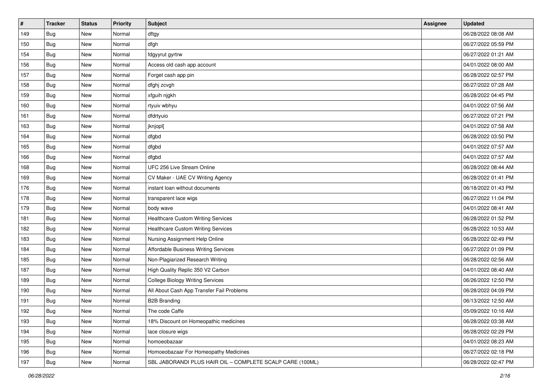| $\vert$ # | <b>Tracker</b> | <b>Status</b> | <b>Priority</b> | <b>Subject</b>                                            | <b>Assignee</b> | <b>Updated</b>      |
|-----------|----------------|---------------|-----------------|-----------------------------------------------------------|-----------------|---------------------|
| 149       | Bug            | New           | Normal          | dftgy                                                     |                 | 06/28/2022 08:08 AM |
| 150       | Bug            | New           | Normal          | dfgh                                                      |                 | 06/27/2022 05:59 PM |
| 154       | Bug            | New           | Normal          | fdgyyrut gyrtrw                                           |                 | 06/27/2022 01:21 AM |
| 156       | Bug            | New           | Normal          | Access old cash app account                               |                 | 04/01/2022 08:00 AM |
| 157       | Bug            | New           | Normal          | Forget cash app pin                                       |                 | 06/28/2022 02:57 PM |
| 158       | Bug            | New           | Normal          | dfghj zcvgh                                               |                 | 06/27/2022 07:28 AM |
| 159       | Bug            | New           | Normal          | xfguih njgkh                                              |                 | 06/28/2022 04:45 PM |
| 160       | Bug            | New           | Normal          | rtyuiv wbhyu                                              |                 | 04/01/2022 07:56 AM |
| 161       | Bug            | New           | Normal          | dfdrtyuio                                                 |                 | 06/27/2022 07:21 PM |
| 163       | Bug            | New           | Normal          | jknjopl[                                                  |                 | 04/01/2022 07:58 AM |
| 164       | Bug            | New           | Normal          | dfgbd                                                     |                 | 06/28/2022 03:50 PM |
| 165       | Bug            | New           | Normal          | dfgbd                                                     |                 | 04/01/2022 07:57 AM |
| 166       | Bug            | New           | Normal          | dfgbd                                                     |                 | 04/01/2022 07:57 AM |
| 168       | <b>Bug</b>     | New           | Normal          | UFC 256 Live Stream Online                                |                 | 06/28/2022 08:44 AM |
| 169       | Bug            | New           | Normal          | CV Maker - UAE CV Writing Agency                          |                 | 06/28/2022 01:41 PM |
| 176       | Bug            | New           | Normal          | instant loan without documents                            |                 | 06/18/2022 01:43 PM |
| 178       | Bug            | New           | Normal          | transparent lace wigs                                     |                 | 06/27/2022 11:04 PM |
| 179       | Bug            | New           | Normal          | body wave                                                 |                 | 04/01/2022 08:41 AM |
| 181       | Bug            | New           | Normal          | <b>Healthcare Custom Writing Services</b>                 |                 | 06/28/2022 01:52 PM |
| 182       | Bug            | New           | Normal          | <b>Healthcare Custom Writing Services</b>                 |                 | 06/28/2022 10:53 AM |
| 183       | Bug            | New           | Normal          | Nursing Assignment Help Online                            |                 | 06/28/2022 02:49 PM |
| 184       | Bug            | New           | Normal          | Affordable Business Writing Services                      |                 | 06/27/2022 01:09 PM |
| 185       | Bug            | New           | Normal          | Non-Plagiarized Research Writing                          |                 | 06/28/2022 02:56 AM |
| 187       | <b>Bug</b>     | New           | Normal          | High Quality Replic 350 V2 Carbon                         |                 | 04/01/2022 08:40 AM |
| 189       | Bug            | New           | Normal          | <b>College Biology Writing Services</b>                   |                 | 06/26/2022 12:50 PM |
| 190       | Bug            | New           | Normal          | All About Cash App Transfer Fail Problems                 |                 | 06/28/2022 04:09 PM |
| 191       | Bug            | New           | Normal          | <b>B2B Branding</b>                                       |                 | 06/13/2022 12:50 AM |
| 192       | Bug            | New           | Normal          | The code Caffe                                            |                 | 05/09/2022 10:16 AM |
| 193       | Bug            | New           | Normal          | 18% Discount on Homeopathic medicines                     |                 | 06/28/2022 03:38 AM |
| 194       | Bug            | New           | Normal          | lace closure wigs                                         |                 | 06/28/2022 02:29 PM |
| 195       | Bug            | New           | Normal          | homoeobazaar                                              |                 | 04/01/2022 08:23 AM |
| 196       | <b>Bug</b>     | New           | Normal          | Homoeobazaar For Homeopathy Medicines                     |                 | 06/27/2022 02:18 PM |
| 197       | <b>Bug</b>     | New           | Normal          | SBL JABORANDI PLUS HAIR OIL - COMPLETE SCALP CARE (100ML) |                 | 06/28/2022 02:47 PM |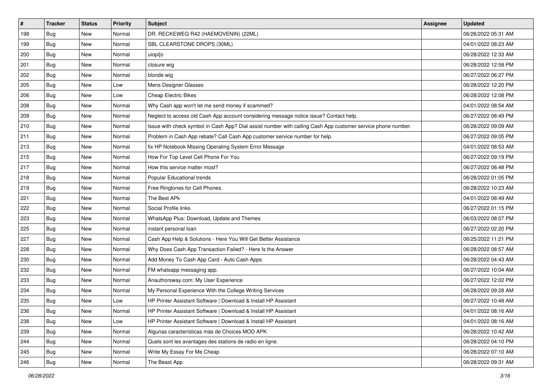| #   | <b>Tracker</b> | <b>Status</b> | Priority | Subject                                                                                                      | <b>Assignee</b> | <b>Updated</b>      |
|-----|----------------|---------------|----------|--------------------------------------------------------------------------------------------------------------|-----------------|---------------------|
| 198 | Bug            | New           | Normal   | DR. RECKEWEG R42 (HAEMOVENIN) (22ML)                                                                         |                 | 06/26/2022 05:31 AM |
| 199 | Bug            | New           | Normal   | SBL CLEARSTONE DROPS (30ML)                                                                                  |                 | 04/01/2022 08:23 AM |
| 200 | Bug            | New           | Normal   | uiopi[o                                                                                                      |                 | 06/28/2022 12:33 AM |
| 201 | <b>Bug</b>     | <b>New</b>    | Normal   | closure wig                                                                                                  |                 | 06/28/2022 12:58 PM |
| 202 | <b>Bug</b>     | New           | Normal   | blonde wig                                                                                                   |                 | 06/27/2022 06:27 PM |
| 205 | <b>Bug</b>     | New           | Low      | Mens Designer Glasses                                                                                        |                 | 06/28/2022 12:20 PM |
| 206 | Bug            | New           | Low      | <b>Cheap Electric Bikes</b>                                                                                  |                 | 06/28/2022 12:08 PM |
| 208 | <b>Bug</b>     | New           | Normal   | Why Cash app won't let me send money if scammed?                                                             |                 | 04/01/2022 08:54 AM |
| 209 | <b>Bug</b>     | New           | Normal   | Neglect to access old Cash App account considering message notice issue? Contact help.                       |                 | 06/27/2022 08:49 PM |
| 210 | <b>Bug</b>     | New           | Normal   | Issue with check symbol in Cash App? Dial assist number with calling Cash App customer service phone number. |                 | 06/28/2022 09:09 AM |
| 211 | Bug            | New           | Normal   | Problem in Cash App rebate? Call Cash App customer service number for help.                                  |                 | 06/27/2022 09:05 PM |
| 213 | Bug            | New           | Normal   | fix HP Notebook Missing Operating System Error Message                                                       |                 | 04/01/2022 08:53 AM |
| 215 | <b>Bug</b>     | <b>New</b>    | Normal   | How For Top Level Cell Phone For You                                                                         |                 | 06/27/2022 09:19 PM |
| 217 | <b>Bug</b>     | New           | Normal   | How this service matter most?                                                                                |                 | 06/27/2022 06:48 PM |
| 218 | <b>Bug</b>     | New           | Normal   | Popular Educational trends                                                                                   |                 | 06/28/2022 01:05 PM |
| 219 | Bug            | New           | Normal   | Free Ringtones for Cell Phones.                                                                              |                 | 06/28/2022 10:23 AM |
| 221 | <b>Bug</b>     | New           | Normal   | The Best APk                                                                                                 |                 | 04/01/2022 08:49 AM |
| 222 | <b>Bug</b>     | New           | Normal   | Social Profile links                                                                                         |                 | 06/27/2022 01:15 PM |
| 223 | Bug            | New           | Normal   | WhatsApp Plus: Download, Update and Themes                                                                   |                 | 06/03/2022 08:07 PM |
| 225 | <b>Bug</b>     | New           | Normal   | instant personal loan                                                                                        |                 | 06/27/2022 02:20 PM |
| 227 | Bug            | New           | Normal   | Cash App Help & Solutions - Here You Will Get Better Assistance                                              |                 | 06/25/2022 11:21 PM |
| 228 | Bug            | New           | Normal   | Why Does Cash App Transaction Failed? - Here Is the Answer                                                   |                 | 06/28/2022 08:57 AM |
| 230 | <b>Bug</b>     | New           | Normal   | Add Money To Cash App Card - Auto Cash Apps                                                                  |                 | 06/28/2022 04:43 AM |
| 232 | <b>Bug</b>     | New           | Normal   | FM whatsapp messaging app.                                                                                   |                 | 06/27/2022 10:04 AM |
| 233 | Bug            | New           | Normal   | Anauthorsway.com: My User Experience                                                                         |                 | 06/27/2022 12:02 PM |
| 234 | <b>Bug</b>     | <b>New</b>    | Normal   | My Personal Experience With the College Writing Services                                                     |                 | 06/28/2022 09:28 AM |
| 235 | <b>Bug</b>     | New           | Low      | HP Printer Assistant Software   Download & Install HP Assistant                                              |                 | 06/27/2022 10:48 AM |
| 236 | <b>Bug</b>     | New           | Normal   | HP Printer Assistant Software   Download & Install HP Assistant                                              |                 | 04/01/2022 08:16 AM |
| 238 | Bug            | New           | Low      | HP Printer Assistant Software   Download & Install HP Assistant                                              |                 | 04/01/2022 08:16 AM |
| 239 | Bug            | New           | Normal   | Algunas características más de Choices MOD APK                                                               |                 | 06/28/2022 10:42 AM |
| 244 | Bug            | New           | Normal   | Quels sont les avantages des stations de radio en ligne.                                                     |                 | 06/28/2022 04:10 PM |
| 245 | Bug            | New           | Normal   | Write My Essay For Me Cheap                                                                                  |                 | 06/28/2022 07:10 AM |
| 246 | Bug            | New           | Normal   | The Beast App                                                                                                |                 | 06/28/2022 09:31 AM |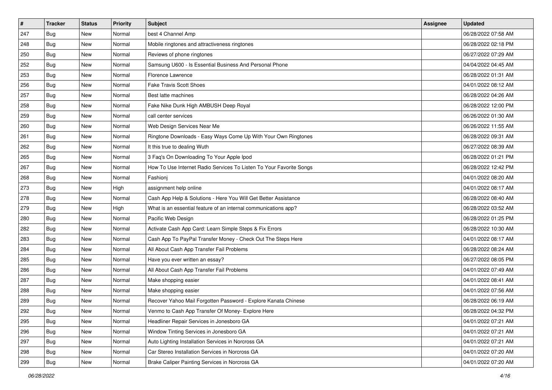| $\pmb{\#}$ | <b>Tracker</b> | <b>Status</b> | Priority | Subject                                                             | <b>Assignee</b> | <b>Updated</b>      |
|------------|----------------|---------------|----------|---------------------------------------------------------------------|-----------------|---------------------|
| 247        | Bug            | New           | Normal   | best 4 Channel Amp                                                  |                 | 06/28/2022 07:58 AM |
| 248        | <b>Bug</b>     | New           | Normal   | Mobile ringtones and attractiveness ringtones                       |                 | 06/28/2022 02:18 PM |
| 250        | Bug            | New           | Normal   | Reviews of phone ringtones                                          |                 | 06/27/2022 07:29 AM |
| 252        | <b>Bug</b>     | New           | Normal   | Samsung U600 - Is Essential Business And Personal Phone             |                 | 04/04/2022 04:45 AM |
| 253        | <b>Bug</b>     | New           | Normal   | Florence Lawrence                                                   |                 | 06/28/2022 01:31 AM |
| 256        | <b>Bug</b>     | New           | Normal   | <b>Fake Travis Scott Shoes</b>                                      |                 | 04/01/2022 08:12 AM |
| 257        | Bug            | New           | Normal   | Best latte machines                                                 |                 | 06/28/2022 04:26 AM |
| 258        | <b>Bug</b>     | New           | Normal   | Fake Nike Dunk High AMBUSH Deep Royal                               |                 | 06/28/2022 12:00 PM |
| 259        | <b>Bug</b>     | New           | Normal   | call center services                                                |                 | 06/26/2022 01:30 AM |
| 260        | Bug            | New           | Normal   | Web Design Services Near Me                                         |                 | 06/26/2022 11:55 AM |
| 261        | Bug            | New           | Normal   | Ringtone Downloads - Easy Ways Come Up With Your Own Ringtones      |                 | 06/28/2022 09:31 AM |
| 262        | Bug            | New           | Normal   | It this true to dealing Wuth                                        |                 | 06/27/2022 08:39 AM |
| 265        | <b>Bug</b>     | <b>New</b>    | Normal   | 3 Faq's On Downloading To Your Apple Ipod                           |                 | 06/28/2022 01:21 PM |
| 267        | <b>Bug</b>     | New           | Normal   | How To Use Internet Radio Services To Listen To Your Favorite Songs |                 | 06/28/2022 12:42 PM |
| 268        | <b>Bug</b>     | New           | Normal   | Fashionj                                                            |                 | 04/01/2022 08:20 AM |
| 273        | Bug            | New           | High     | assignment help online                                              |                 | 04/01/2022 08:17 AM |
| 278        | Bug            | New           | Normal   | Cash App Help & Solutions - Here You Will Get Better Assistance     |                 | 06/28/2022 08:40 AM |
| 279        | <b>Bug</b>     | New           | High     | What is an essential feature of an internal communications app?     |                 | 06/28/2022 03:52 AM |
| 280        | Bug            | New           | Normal   | Pacific Web Design                                                  |                 | 06/28/2022 01:25 PM |
| 282        | <b>Bug</b>     | New           | Normal   | Activate Cash App Card: Learn Simple Steps & Fix Errors             |                 | 06/28/2022 10:30 AM |
| 283        | Bug            | New           | Normal   | Cash App To PayPal Transfer Money - Check Out The Steps Here        |                 | 04/01/2022 08:17 AM |
| 284        | <b>Bug</b>     | New           | Normal   | All About Cash App Transfer Fail Problems                           |                 | 06/28/2022 08:24 AM |
| 285        | Bug            | New           | Normal   | Have you ever written an essay?                                     |                 | 06/27/2022 08:05 PM |
| 286        | <b>Bug</b>     | New           | Normal   | All About Cash App Transfer Fail Problems                           |                 | 04/01/2022 07:49 AM |
| 287        | Bug            | New           | Normal   | Make shopping easier                                                |                 | 04/01/2022 08:41 AM |
| 288        | Bug            | New           | Normal   | Make shopping easier                                                |                 | 04/01/2022 07:56 AM |
| 289        | <b>Bug</b>     | New           | Normal   | Recover Yahoo Mail Forgotten Password - Explore Kanata Chinese      |                 | 06/28/2022 06:19 AM |
| 292        | <b>Bug</b>     | New           | Normal   | Venmo to Cash App Transfer Of Money- Explore Here                   |                 | 06/28/2022 04:32 PM |
| 295        | Bug            | New           | Normal   | Headliner Repair Services in Jonesboro GA                           |                 | 04/01/2022 07:21 AM |
| 296        | Bug            | New           | Normal   | Window Tinting Services in Jonesboro GA                             |                 | 04/01/2022 07:21 AM |
| 297        | <b>Bug</b>     | New           | Normal   | Auto Lighting Installation Services in Norcross GA                  |                 | 04/01/2022 07:21 AM |
| 298        | Bug            | New           | Normal   | Car Stereo Installation Services in Norcross GA                     |                 | 04/01/2022 07:20 AM |
| 299        | Bug            | New           | Normal   | Brake Caliper Painting Services in Norcross GA                      |                 | 04/01/2022 07:20 AM |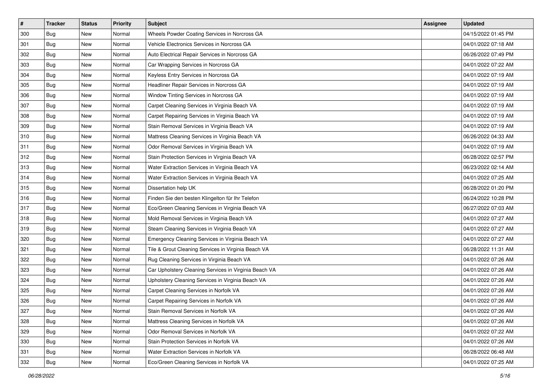| $\vert$ # | <b>Tracker</b> | <b>Status</b> | Priority | Subject                                               | <b>Assignee</b> | <b>Updated</b>      |
|-----------|----------------|---------------|----------|-------------------------------------------------------|-----------------|---------------------|
| 300       | <b>Bug</b>     | New           | Normal   | Wheels Powder Coating Services in Norcross GA         |                 | 04/15/2022 01:45 PM |
| 301       | Bug            | New           | Normal   | Vehicle Electronics Services in Norcross GA           |                 | 04/01/2022 07:18 AM |
| 302       | Bug            | New           | Normal   | Auto Electrical Repair Services in Norcross GA        |                 | 06/26/2022 07:49 PM |
| 303       | Bug            | New           | Normal   | Car Wrapping Services in Norcross GA                  |                 | 04/01/2022 07:22 AM |
| 304       | <b>Bug</b>     | New           | Normal   | Keyless Entry Services in Norcross GA                 |                 | 04/01/2022 07:19 AM |
| 305       | Bug            | New           | Normal   | Headliner Repair Services in Norcross GA              |                 | 04/01/2022 07:19 AM |
| 306       | Bug            | New           | Normal   | Window Tinting Services in Norcross GA                |                 | 04/01/2022 07:19 AM |
| 307       | <b>Bug</b>     | New           | Normal   | Carpet Cleaning Services in Virginia Beach VA         |                 | 04/01/2022 07:19 AM |
| 308       | Bug            | New           | Normal   | Carpet Repairing Services in Virginia Beach VA        |                 | 04/01/2022 07:19 AM |
| 309       | Bug            | New           | Normal   | Stain Removal Services in Virginia Beach VA           |                 | 04/01/2022 07:19 AM |
| 310       | Bug            | New           | Normal   | Mattress Cleaning Services in Virginia Beach VA       |                 | 06/26/2022 04:33 AM |
| 311       | Bug            | New           | Normal   | Odor Removal Services in Virginia Beach VA            |                 | 04/01/2022 07:19 AM |
| 312       | Bug            | New           | Normal   | Stain Protection Services in Virginia Beach VA        |                 | 06/28/2022 02:57 PM |
| 313       | Bug            | New           | Normal   | Water Extraction Services in Virginia Beach VA        |                 | 06/23/2022 02:14 AM |
| 314       | <b>Bug</b>     | New           | Normal   | Water Extraction Services in Virginia Beach VA        |                 | 04/01/2022 07:25 AM |
| 315       | Bug            | New           | Normal   | Dissertation help UK                                  |                 | 06/28/2022 01:20 PM |
| 316       | Bug            | New           | Normal   | Finden Sie den besten Klingelton für Ihr Telefon      |                 | 06/24/2022 10:28 PM |
| 317       | <b>Bug</b>     | New           | Normal   | Eco/Green Cleaning Services in Virginia Beach VA      |                 | 06/27/2022 07:03 AM |
| 318       | <b>Bug</b>     | New           | Normal   | Mold Removal Services in Virginia Beach VA            |                 | 04/01/2022 07:27 AM |
| 319       | Bug            | New           | Normal   | Steam Cleaning Services in Virginia Beach VA          |                 | 04/01/2022 07:27 AM |
| 320       | Bug            | New           | Normal   | Emergency Cleaning Services in Virginia Beach VA      |                 | 04/01/2022 07:27 AM |
| 321       | Bug            | New           | Normal   | Tile & Grout Cleaning Services in Virginia Beach VA   |                 | 06/28/2022 11:31 AM |
| 322       | <b>Bug</b>     | New           | Normal   | Rug Cleaning Services in Virginia Beach VA            |                 | 04/01/2022 07:26 AM |
| 323       | <b>Bug</b>     | New           | Normal   | Car Upholstery Cleaning Services in Virginia Beach VA |                 | 04/01/2022 07:26 AM |
| 324       | Bug            | New           | Normal   | Upholstery Cleaning Services in Virginia Beach VA     |                 | 04/01/2022 07:26 AM |
| 325       | Bug            | New           | Normal   | Carpet Cleaning Services in Norfolk VA                |                 | 04/01/2022 07:26 AM |
| 326       | Bug            | New           | Normal   | Carpet Repairing Services in Norfolk VA               |                 | 04/01/2022 07:26 AM |
| 327       | I Bug          | New           | Normal   | Stain Removal Services in Norfolk VA                  |                 | 04/01/2022 07:26 AM |
| 328       | Bug            | New           | Normal   | Mattress Cleaning Services in Norfolk VA              |                 | 04/01/2022 07:26 AM |
| 329       | Bug            | New           | Normal   | Odor Removal Services in Norfolk VA                   |                 | 04/01/2022 07:22 AM |
| 330       | Bug            | New           | Normal   | Stain Protection Services in Norfolk VA               |                 | 04/01/2022 07:26 AM |
| 331       | <b>Bug</b>     | New           | Normal   | Water Extraction Services in Norfolk VA               |                 | 06/28/2022 06:48 AM |
| 332       | <b>Bug</b>     | New           | Normal   | Eco/Green Cleaning Services in Norfolk VA             |                 | 04/01/2022 07:25 AM |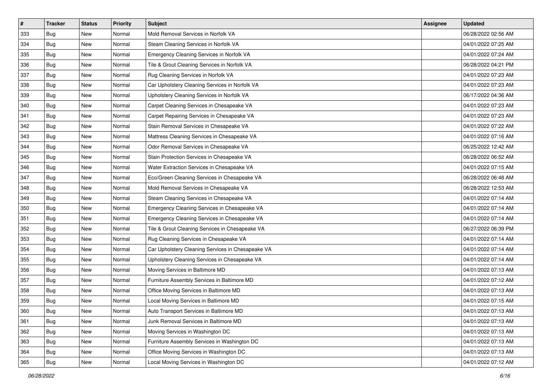| $\vert$ # | <b>Tracker</b> | <b>Status</b> | Priority | Subject                                           | <b>Assignee</b> | <b>Updated</b>      |
|-----------|----------------|---------------|----------|---------------------------------------------------|-----------------|---------------------|
| 333       | <b>Bug</b>     | New           | Normal   | Mold Removal Services in Norfolk VA               |                 | 06/28/2022 02:56 AM |
| 334       | Bug            | New           | Normal   | Steam Cleaning Services in Norfolk VA             |                 | 04/01/2022 07:25 AM |
| 335       | Bug            | New           | Normal   | Emergency Cleaning Services in Norfolk VA         |                 | 04/01/2022 07:24 AM |
| 336       | Bug            | New           | Normal   | Tile & Grout Cleaning Services in Norfolk VA      |                 | 06/28/2022 04:21 PM |
| 337       | <b>Bug</b>     | New           | Normal   | Rug Cleaning Services in Norfolk VA               |                 | 04/01/2022 07:23 AM |
| 338       | Bug            | New           | Normal   | Car Upholstery Cleaning Services in Norfolk VA    |                 | 04/01/2022 07:23 AM |
| 339       | Bug            | New           | Normal   | Upholstery Cleaning Services in Norfolk VA        |                 | 06/17/2022 04:36 AM |
| 340       | Bug            | New           | Normal   | Carpet Cleaning Services in Chesapeake VA         |                 | 04/01/2022 07:23 AM |
| 341       | Bug            | <b>New</b>    | Normal   | Carpet Repairing Services in Chesapeake VA        |                 | 04/01/2022 07:23 AM |
| 342       | Bug            | New           | Normal   | Stain Removal Services in Chesapeake VA           |                 | 04/01/2022 07:22 AM |
| 343       | Bug            | New           | Normal   | Mattress Cleaning Services in Chesapeake VA       |                 | 04/01/2022 07:16 AM |
| 344       | Bug            | New           | Normal   | Odor Removal Services in Chesapeake VA            |                 | 06/25/2022 12:42 AM |
| 345       | Bug            | <b>New</b>    | Normal   | Stain Protection Services in Chesapeake VA        |                 | 06/28/2022 06:52 AM |
| 346       | <b>Bug</b>     | <b>New</b>    | Normal   | Water Extraction Services in Chesapeake VA        |                 | 04/01/2022 07:15 AM |
| 347       | <b>Bug</b>     | New           | Normal   | Eco/Green Cleaning Services in Chesapeake VA      |                 | 06/28/2022 06:48 AM |
| 348       | <b>Bug</b>     | New           | Normal   | Mold Removal Services in Chesapeake VA            |                 | 06/28/2022 12:53 AM |
| 349       | Bug            | New           | Normal   | Steam Cleaning Services in Chesapeake VA          |                 | 04/01/2022 07:14 AM |
| 350       | <b>Bug</b>     | <b>New</b>    | Normal   | Emergency Cleaning Services in Chesapeake VA      |                 | 04/01/2022 07:14 AM |
| 351       | <b>Bug</b>     | New           | Normal   | Emergency Cleaning Services in Chesapeake VA      |                 | 04/01/2022 07:14 AM |
| 352       | Bug            | New           | Normal   | Tile & Grout Cleaning Services in Chesapeake VA   |                 | 06/27/2022 06:39 PM |
| 353       | Bug            | New           | Normal   | Rug Cleaning Services in Chesapeake VA            |                 | 04/01/2022 07:14 AM |
| 354       | Bug            | <b>New</b>    | Normal   | Car Upholstery Cleaning Services in Chesapeake VA |                 | 04/01/2022 07:14 AM |
| 355       | Bug            | <b>New</b>    | Normal   | Upholstery Cleaning Services in Chesapeake VA     |                 | 04/01/2022 07:14 AM |
| 356       | <b>Bug</b>     | New           | Normal   | Moving Services in Baltimore MD                   |                 | 04/01/2022 07:13 AM |
| 357       | Bug            | New           | Normal   | Furniture Assembly Services in Baltimore MD       |                 | 04/01/2022 07:12 AM |
| 358       | <b>Bug</b>     | New           | Normal   | Office Moving Services in Baltimore MD            |                 | 04/01/2022 07:13 AM |
| 359       | Bug            | New           | Normal   | Local Moving Services in Baltimore MD             |                 | 04/01/2022 07:15 AM |
| 360       | Bug            | New           | Normal   | Auto Transport Services in Baltimore MD           |                 | 04/01/2022 07:13 AM |
| 361       | Bug            | New           | Normal   | Junk Removal Services in Baltimore MD             |                 | 04/01/2022 07:13 AM |
| 362       | Bug            | New           | Normal   | Moving Services in Washington DC                  |                 | 04/01/2022 07:13 AM |
| 363       | Bug            | New           | Normal   | Furniture Assembly Services in Washington DC      |                 | 04/01/2022 07:13 AM |
| 364       | <b>Bug</b>     | New           | Normal   | Office Moving Services in Washington DC           |                 | 04/01/2022 07:13 AM |
| 365       | Bug            | New           | Normal   | Local Moving Services in Washington DC            |                 | 04/01/2022 07:12 AM |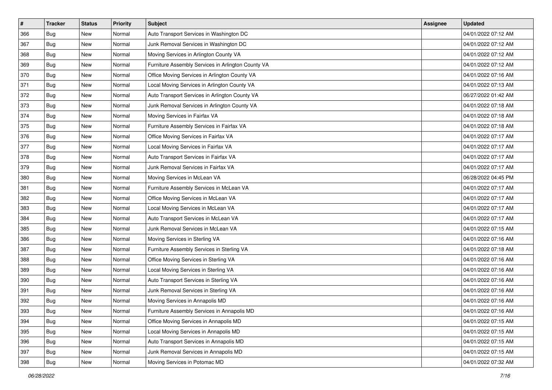| $\vert$ # | <b>Tracker</b> | <b>Status</b> | <b>Priority</b> | Subject                                            | <b>Assignee</b> | <b>Updated</b>      |
|-----------|----------------|---------------|-----------------|----------------------------------------------------|-----------------|---------------------|
| 366       | <b>Bug</b>     | New           | Normal          | Auto Transport Services in Washington DC           |                 | 04/01/2022 07:12 AM |
| 367       | Bug            | New           | Normal          | Junk Removal Services in Washington DC             |                 | 04/01/2022 07:12 AM |
| 368       | Bug            | New           | Normal          | Moving Services in Arlington County VA             |                 | 04/01/2022 07:12 AM |
| 369       | Bug            | <b>New</b>    | Normal          | Furniture Assembly Services in Arlington County VA |                 | 04/01/2022 07:12 AM |
| 370       | <b>Bug</b>     | <b>New</b>    | Normal          | Office Moving Services in Arlington County VA      |                 | 04/01/2022 07:16 AM |
| 371       | Bug            | New           | Normal          | Local Moving Services in Arlington County VA       |                 | 04/01/2022 07:13 AM |
| 372       | Bug            | <b>New</b>    | Normal          | Auto Transport Services in Arlington County VA     |                 | 06/27/2022 01:42 AM |
| 373       | <b>Bug</b>     | New           | Normal          | Junk Removal Services in Arlington County VA       |                 | 04/01/2022 07:18 AM |
| 374       | Bug            | <b>New</b>    | Normal          | Moving Services in Fairfax VA                      |                 | 04/01/2022 07:18 AM |
| 375       | Bug            | <b>New</b>    | Normal          | Furniture Assembly Services in Fairfax VA          |                 | 04/01/2022 07:18 AM |
| 376       | Bug            | New           | Normal          | Office Moving Services in Fairfax VA               |                 | 04/01/2022 07:17 AM |
| 377       | Bug            | New           | Normal          | Local Moving Services in Fairfax VA                |                 | 04/01/2022 07:17 AM |
| 378       | Bug            | <b>New</b>    | Normal          | Auto Transport Services in Fairfax VA              |                 | 04/01/2022 07:17 AM |
| 379       | Bug            | New           | Normal          | Junk Removal Services in Fairfax VA                |                 | 04/01/2022 07:17 AM |
| 380       | <b>Bug</b>     | New           | Normal          | Moving Services in McLean VA                       |                 | 06/28/2022 04:45 PM |
| 381       | Bug            | New           | Normal          | Furniture Assembly Services in McLean VA           |                 | 04/01/2022 07:17 AM |
| 382       | Bug            | New           | Normal          | Office Moving Services in McLean VA                |                 | 04/01/2022 07:17 AM |
| 383       | Bug            | <b>New</b>    | Normal          | Local Moving Services in McLean VA                 |                 | 04/01/2022 07:17 AM |
| 384       | <b>Bug</b>     | New           | Normal          | Auto Transport Services in McLean VA               |                 | 04/01/2022 07:17 AM |
| 385       | Bug            | <b>New</b>    | Normal          | Junk Removal Services in McLean VA                 |                 | 04/01/2022 07:15 AM |
| 386       | Bug            | New           | Normal          | Moving Services in Sterling VA                     |                 | 04/01/2022 07:16 AM |
| 387       | Bug            | <b>New</b>    | Normal          | Furniture Assembly Services in Sterling VA         |                 | 04/01/2022 07:18 AM |
| 388       | <b>Bug</b>     | <b>New</b>    | Normal          | Office Moving Services in Sterling VA              |                 | 04/01/2022 07:16 AM |
| 389       | <b>Bug</b>     | New           | Normal          | Local Moving Services in Sterling VA               |                 | 04/01/2022 07:16 AM |
| 390       | Bug            | New           | Normal          | Auto Transport Services in Sterling VA             |                 | 04/01/2022 07:16 AM |
| 391       | <b>Bug</b>     | <b>New</b>    | Normal          | Junk Removal Services in Sterling VA               |                 | 04/01/2022 07:16 AM |
| 392       | Bug            | New           | Normal          | Moving Services in Annapolis MD                    |                 | 04/01/2022 07:16 AM |
| 393       | I Bug          | New           | Normal          | Furniture Assembly Services in Annapolis MD        |                 | 04/01/2022 07:16 AM |
| 394       | Bug            | New           | Normal          | Office Moving Services in Annapolis MD             |                 | 04/01/2022 07:15 AM |
| 395       | Bug            | New           | Normal          | Local Moving Services in Annapolis MD              |                 | 04/01/2022 07:15 AM |
| 396       | Bug            | New           | Normal          | Auto Transport Services in Annapolis MD            |                 | 04/01/2022 07:15 AM |
| 397       | <b>Bug</b>     | New           | Normal          | Junk Removal Services in Annapolis MD              |                 | 04/01/2022 07:15 AM |
| 398       | <b>Bug</b>     | New           | Normal          | Moving Services in Potomac MD                      |                 | 04/01/2022 07:32 AM |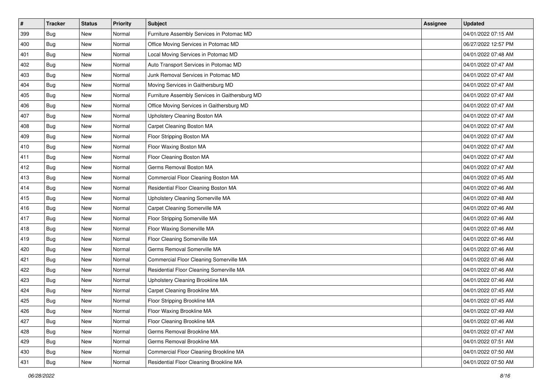| #   | <b>Tracker</b> | <b>Status</b> | <b>Priority</b> | Subject                                        | <b>Assignee</b> | <b>Updated</b>      |
|-----|----------------|---------------|-----------------|------------------------------------------------|-----------------|---------------------|
| 399 | <b>Bug</b>     | New           | Normal          | Furniture Assembly Services in Potomac MD      |                 | 04/01/2022 07:15 AM |
| 400 | Bug            | New           | Normal          | Office Moving Services in Potomac MD           |                 | 06/27/2022 12:57 PM |
| 401 | Bug            | New           | Normal          | Local Moving Services in Potomac MD            |                 | 04/01/2022 07:48 AM |
| 402 | Bug            | <b>New</b>    | Normal          | Auto Transport Services in Potomac MD          |                 | 04/01/2022 07:47 AM |
| 403 | <b>Bug</b>     | New           | Normal          | Junk Removal Services in Potomac MD            |                 | 04/01/2022 07:47 AM |
| 404 | <b>Bug</b>     | New           | Normal          | Moving Services in Gaithersburg MD             |                 | 04/01/2022 07:47 AM |
| 405 | Bug            | <b>New</b>    | Normal          | Furniture Assembly Services in Gaithersburg MD |                 | 04/01/2022 07:47 AM |
| 406 | <b>Bug</b>     | New           | Normal          | Office Moving Services in Gaithersburg MD      |                 | 04/01/2022 07:47 AM |
| 407 | Bug            | New           | Normal          | Upholstery Cleaning Boston MA                  |                 | 04/01/2022 07:47 AM |
| 408 | <b>Bug</b>     | <b>New</b>    | Normal          | Carpet Cleaning Boston MA                      |                 | 04/01/2022 07:47 AM |
| 409 | Bug            | New           | Normal          | Floor Stripping Boston MA                      |                 | 04/01/2022 07:47 AM |
| 410 | Bug            | New           | Normal          | Floor Waxing Boston MA                         |                 | 04/01/2022 07:47 AM |
| 411 | Bug            | <b>New</b>    | Normal          | Floor Cleaning Boston MA                       |                 | 04/01/2022 07:47 AM |
| 412 | Bug            | New           | Normal          | Germs Removal Boston MA                        |                 | 04/01/2022 07:47 AM |
| 413 | <b>Bug</b>     | New           | Normal          | Commercial Floor Cleaning Boston MA            |                 | 04/01/2022 07:45 AM |
| 414 | Bug            | New           | Normal          | Residential Floor Cleaning Boston MA           |                 | 04/01/2022 07:46 AM |
| 415 | Bug            | <b>New</b>    | Normal          | Upholstery Cleaning Somerville MA              |                 | 04/01/2022 07:48 AM |
| 416 | <b>Bug</b>     | <b>New</b>    | Normal          | Carpet Cleaning Somerville MA                  |                 | 04/01/2022 07:46 AM |
| 417 | Bug            | New           | Normal          | Floor Stripping Somerville MA                  |                 | 04/01/2022 07:46 AM |
| 418 | Bug            | <b>New</b>    | Normal          | Floor Waxing Somerville MA                     |                 | 04/01/2022 07:46 AM |
| 419 | Bug            | New           | Normal          | Floor Cleaning Somerville MA                   |                 | 04/01/2022 07:46 AM |
| 420 | Bug            | <b>New</b>    | Normal          | Germs Removal Somerville MA                    |                 | 04/01/2022 07:46 AM |
| 421 | <b>Bug</b>     | <b>New</b>    | Normal          | Commercial Floor Cleaning Somerville MA        |                 | 04/01/2022 07:46 AM |
| 422 | <b>Bug</b>     | New           | Normal          | Residential Floor Cleaning Somerville MA       |                 | 04/01/2022 07:46 AM |
| 423 | Bug            | New           | Normal          | Upholstery Cleaning Brookline MA               |                 | 04/01/2022 07:46 AM |
| 424 | <b>Bug</b>     | <b>New</b>    | Normal          | Carpet Cleaning Brookline MA                   |                 | 04/01/2022 07:45 AM |
| 425 | Bug            | <b>New</b>    | Normal          | Floor Stripping Brookline MA                   |                 | 04/01/2022 07:45 AM |
| 426 | <b>Bug</b>     | New           | Normal          | Floor Waxing Brookline MA                      |                 | 04/01/2022 07:49 AM |
| 427 | Bug            | New           | Normal          | Floor Cleaning Brookline MA                    |                 | 04/01/2022 07:46 AM |
| 428 | <b>Bug</b>     | New           | Normal          | Germs Removal Brookline MA                     |                 | 04/01/2022 07:47 AM |
| 429 | Bug            | New           | Normal          | Germs Removal Brookline MA                     |                 | 04/01/2022 07:51 AM |
| 430 | <b>Bug</b>     | New           | Normal          | Commercial Floor Cleaning Brookline MA         |                 | 04/01/2022 07:50 AM |
| 431 | Bug            | New           | Normal          | Residential Floor Cleaning Brookline MA        |                 | 04/01/2022 07:50 AM |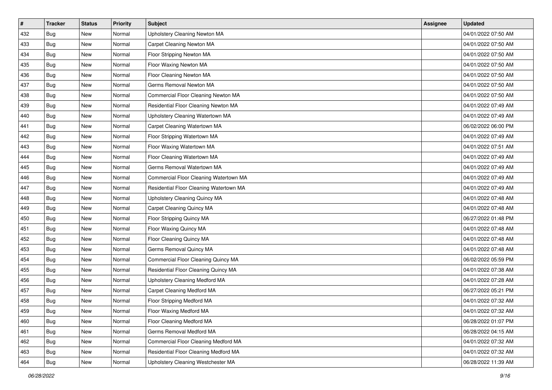| $\pmb{\#}$ | <b>Tracker</b> | <b>Status</b> | Priority | <b>Subject</b>                          | <b>Assignee</b> | <b>Updated</b>      |
|------------|----------------|---------------|----------|-----------------------------------------|-----------------|---------------------|
| 432        | <b>Bug</b>     | New           | Normal   | Upholstery Cleaning Newton MA           |                 | 04/01/2022 07:50 AM |
| 433        | <b>Bug</b>     | New           | Normal   | Carpet Cleaning Newton MA               |                 | 04/01/2022 07:50 AM |
| 434        | Bug            | New           | Normal   | Floor Stripping Newton MA               |                 | 04/01/2022 07:50 AM |
| 435        | <b>Bug</b>     | New           | Normal   | Floor Waxing Newton MA                  |                 | 04/01/2022 07:50 AM |
| 436        | <b>Bug</b>     | New           | Normal   | Floor Cleaning Newton MA                |                 | 04/01/2022 07:50 AM |
| 437        | <b>Bug</b>     | New           | Normal   | Germs Removal Newton MA                 |                 | 04/01/2022 07:50 AM |
| 438        | Bug            | New           | Normal   | Commercial Floor Cleaning Newton MA     |                 | 04/01/2022 07:50 AM |
| 439        | Bug            | New           | Normal   | Residential Floor Cleaning Newton MA    |                 | 04/01/2022 07:49 AM |
| 440        | <b>Bug</b>     | New           | Normal   | Upholstery Cleaning Watertown MA        |                 | 04/01/2022 07:49 AM |
| 441        | <b>Bug</b>     | New           | Normal   | Carpet Cleaning Watertown MA            |                 | 06/02/2022 06:00 PM |
| 442        | Bug            | New           | Normal   | Floor Stripping Watertown MA            |                 | 04/01/2022 07:49 AM |
| 443        | Bug            | New           | Normal   | Floor Waxing Watertown MA               |                 | 04/01/2022 07:51 AM |
| 444        | Bug            | New           | Normal   | Floor Cleaning Watertown MA             |                 | 04/01/2022 07:49 AM |
| 445        | <b>Bug</b>     | New           | Normal   | Germs Removal Watertown MA              |                 | 04/01/2022 07:49 AM |
| 446        | <b>Bug</b>     | New           | Normal   | Commercial Floor Cleaning Watertown MA  |                 | 04/01/2022 07:49 AM |
| 447        | Bug            | New           | Normal   | Residential Floor Cleaning Watertown MA |                 | 04/01/2022 07:49 AM |
| 448        | Bug            | New           | Normal   | Upholstery Cleaning Quincy MA           |                 | 04/01/2022 07:48 AM |
| 449        | <b>Bug</b>     | New           | Normal   | Carpet Cleaning Quincy MA               |                 | 04/01/2022 07:48 AM |
| 450        | <b>Bug</b>     | New           | Normal   | Floor Stripping Quincy MA               |                 | 06/27/2022 01:48 PM |
| 451        | <b>Bug</b>     | New           | Normal   | Floor Waxing Quincy MA                  |                 | 04/01/2022 07:48 AM |
| 452        | Bug            | New           | Normal   | Floor Cleaning Quincy MA                |                 | 04/01/2022 07:48 AM |
| 453        | Bug            | New           | Normal   | Germs Removal Quincy MA                 |                 | 04/01/2022 07:48 AM |
| 454        | <b>Bug</b>     | New           | Normal   | Commercial Floor Cleaning Quincy MA     |                 | 06/02/2022 05:59 PM |
| 455        | <b>Bug</b>     | New           | Normal   | Residential Floor Cleaning Quincy MA    |                 | 04/01/2022 07:38 AM |
| 456        | Bug            | New           | Normal   | Upholstery Cleaning Medford MA          |                 | 04/01/2022 07:28 AM |
| 457        | <b>Bug</b>     | New           | Normal   | <b>Carpet Cleaning Medford MA</b>       |                 | 06/27/2022 05:21 PM |
| 458        | <b>Bug</b>     | <b>New</b>    | Normal   | Floor Stripping Medford MA              |                 | 04/01/2022 07:32 AM |
| 459        | <b>Bug</b>     | New           | Normal   | Floor Waxing Medford MA                 |                 | 04/01/2022 07:32 AM |
| 460        | Bug            | New           | Normal   | Floor Cleaning Medford MA               |                 | 06/28/2022 01:07 PM |
| 461        | <b>Bug</b>     | New           | Normal   | Germs Removal Medford MA                |                 | 06/28/2022 04:15 AM |
| 462        | Bug            | New           | Normal   | Commercial Floor Cleaning Medford MA    |                 | 04/01/2022 07:32 AM |
| 463        | <b>Bug</b>     | New           | Normal   | Residential Floor Cleaning Medford MA   |                 | 04/01/2022 07:32 AM |
| 464        | Bug            | New           | Normal   | Upholstery Cleaning Westchester MA      |                 | 06/28/2022 11:39 AM |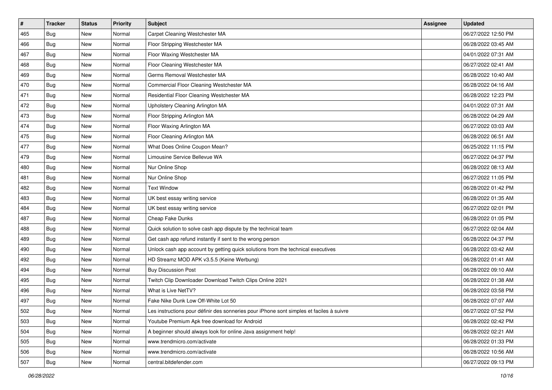| $\pmb{\#}$ | <b>Tracker</b> | <b>Status</b> | Priority | Subject                                                                                  | <b>Assignee</b> | <b>Updated</b>      |
|------------|----------------|---------------|----------|------------------------------------------------------------------------------------------|-----------------|---------------------|
| 465        | <b>Bug</b>     | New           | Normal   | Carpet Cleaning Westchester MA                                                           |                 | 06/27/2022 12:50 PM |
| 466        | <b>Bug</b>     | New           | Normal   | Floor Stripping Westchester MA                                                           |                 | 06/28/2022 03:45 AM |
| 467        | Bug            | New           | Normal   | Floor Waxing Westchester MA                                                              |                 | 04/01/2022 07:31 AM |
| 468        | <b>Bug</b>     | New           | Normal   | Floor Cleaning Westchester MA                                                            |                 | 06/27/2022 02:41 AM |
| 469        | <b>Bug</b>     | New           | Normal   | Germs Removal Westchester MA                                                             |                 | 06/28/2022 10:40 AM |
| 470        | <b>Bug</b>     | New           | Normal   | Commercial Floor Cleaning Westchester MA                                                 |                 | 06/28/2022 04:16 AM |
| 471        | <b>Bug</b>     | New           | Normal   | Residential Floor Cleaning Westchester MA                                                |                 | 06/28/2022 12:23 PM |
| 472        | <b>Bug</b>     | New           | Normal   | Upholstery Cleaning Arlington MA                                                         |                 | 04/01/2022 07:31 AM |
| 473        | <b>Bug</b>     | New           | Normal   | Floor Stripping Arlington MA                                                             |                 | 06/28/2022 04:29 AM |
| 474        | <b>Bug</b>     | New           | Normal   | Floor Waxing Arlington MA                                                                |                 | 06/27/2022 03:03 AM |
| 475        | Bug            | New           | Normal   | Floor Cleaning Arlington MA                                                              |                 | 06/28/2022 06:51 AM |
| 477        | <b>Bug</b>     | New           | Normal   | What Does Online Coupon Mean?                                                            |                 | 06/25/2022 11:15 PM |
| 479        | Bug            | <b>New</b>    | Normal   | Limousine Service Bellevue WA                                                            |                 | 06/27/2022 04:37 PM |
| 480        | <b>Bug</b>     | New           | Normal   | Nur Online Shop                                                                          |                 | 06/28/2022 08:13 AM |
| 481        | <b>Bug</b>     | New           | Normal   | Nur Online Shop                                                                          |                 | 06/27/2022 11:05 PM |
| 482        | Bug            | New           | Normal   | <b>Text Window</b>                                                                       |                 | 06/28/2022 01:42 PM |
| 483        | <b>Bug</b>     | New           | Normal   | UK best essay writing service                                                            |                 | 06/28/2022 01:35 AM |
| 484        | Bug            | New           | Normal   | UK best essay writing service                                                            |                 | 06/27/2022 02:01 PM |
| 487        | <b>Bug</b>     | New           | Normal   | Cheap Fake Dunks                                                                         |                 | 06/28/2022 01:05 PM |
| 488        | <b>Bug</b>     | New           | Normal   | Quick solution to solve cash app dispute by the technical team                           |                 | 06/27/2022 02:04 AM |
| 489        | Bug            | New           | Normal   | Get cash app refund instantly if sent to the wrong person                                |                 | 06/28/2022 04:37 PM |
| 490        | <b>Bug</b>     | New           | Normal   | Unlock cash app account by getting quick solutions from the technical executives         |                 | 06/28/2022 03:42 AM |
| 492        | Bug            | New           | Normal   | HD Streamz MOD APK v3.5.5 (Keine Werbung)                                                |                 | 06/28/2022 01:41 AM |
| 494        | <b>Bug</b>     | New           | Normal   | <b>Buy Discussion Post</b>                                                               |                 | 06/28/2022 09:10 AM |
| 495        | <b>Bug</b>     | New           | Normal   | Twitch Clip Downloader Download Twitch Clips Online 2021                                 |                 | 06/28/2022 01:38 AM |
| 496        | <b>Bug</b>     | <b>New</b>    | Normal   | What is Live NetTV?                                                                      |                 | 06/28/2022 03:58 PM |
| 497        | <b>Bug</b>     | New           | Normal   | Fake Nike Dunk Low Off-White Lot 50                                                      |                 | 06/28/2022 07:07 AM |
| 502        | <b>Bug</b>     | New           | Normal   | Les instructions pour définir des sonneries pour iPhone sont simples et faciles à suivre |                 | 06/27/2022 07:52 PM |
| 503        | Bug            | New           | Normal   | Youtube Premium Apk free download for Android                                            |                 | 06/28/2022 02:42 PM |
| 504        | Bug            | New           | Normal   | A beginner should always look for online Java assignment help!                           |                 | 06/28/2022 02:21 AM |
| 505        | Bug            | New           | Normal   | www.trendmicro.com/activate                                                              |                 | 06/28/2022 01:33 PM |
| 506        | Bug            | New           | Normal   | www.trendmicro.com/activate                                                              |                 | 06/28/2022 10:56 AM |
| 507        | <b>Bug</b>     | New           | Normal   | central.bitdefender.com                                                                  |                 | 06/27/2022 09:13 PM |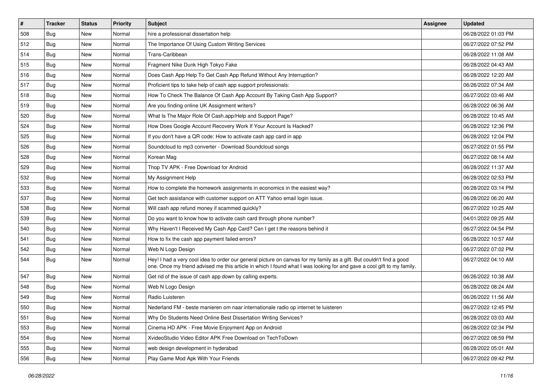| #   | <b>Tracker</b> | <b>Status</b> | <b>Priority</b> | <b>Subject</b>                                                                                                                                                                                                                                 | Assignee | <b>Updated</b>      |
|-----|----------------|---------------|-----------------|------------------------------------------------------------------------------------------------------------------------------------------------------------------------------------------------------------------------------------------------|----------|---------------------|
| 508 | Bug            | New           | Normal          | hire a professional dissertation help                                                                                                                                                                                                          |          | 06/28/2022 01:03 PM |
| 512 | <b>Bug</b>     | <b>New</b>    | Normal          | The Importance Of Using Custom Writing Services                                                                                                                                                                                                |          | 06/27/2022 07:52 PM |
| 514 | Bug            | New           | Normal          | Trans-Caribbean                                                                                                                                                                                                                                |          | 06/28/2022 11:08 AM |
| 515 | Bug            | New           | Normal          | Fragment Nike Dunk High Tokyo Fake                                                                                                                                                                                                             |          | 06/28/2022 04:43 AM |
| 516 | Bug            | New           | Normal          | Does Cash App Help To Get Cash App Refund Without Any Interruption?                                                                                                                                                                            |          | 06/28/2022 12:20 AM |
| 517 | Bug            | New           | Normal          | Proficient tips to take help of cash app support professionals:                                                                                                                                                                                |          | 06/26/2022 07:34 AM |
| 518 | Bug            | New           | Normal          | How To Check The Balance Of Cash App Account By Taking Cash App Support?                                                                                                                                                                       |          | 06/27/2022 03:46 AM |
| 519 | Bug            | New           | Normal          | Are you finding online UK Assignment writers?                                                                                                                                                                                                  |          | 06/28/2022 06:36 AM |
| 520 | Bug            | New           | Normal          | What Is The Major Role Of Cash.app/Help and Support Page?                                                                                                                                                                                      |          | 06/28/2022 10:45 AM |
| 524 | <b>Bug</b>     | <b>New</b>    | Normal          | How Does Google Account Recovery Work If Your Account Is Hacked?                                                                                                                                                                               |          | 06/28/2022 12:36 PM |
| 525 | Bug            | New           | Normal          | If you don't have a QR code: How to activate cash app card in app                                                                                                                                                                              |          | 06/28/2022 12:04 PM |
| 526 | Bug            | New           | Normal          | Soundcloud to mp3 converter - Download Soundcloud songs                                                                                                                                                                                        |          | 06/27/2022 01:55 PM |
| 528 | Bug            | New           | Normal          | Korean Mag                                                                                                                                                                                                                                     |          | 06/27/2022 08:14 AM |
| 529 | Bug            | New           | Normal          | Thop TV APK - Free Download for Android                                                                                                                                                                                                        |          | 06/28/2022 11:37 AM |
| 532 | Bug            | <b>New</b>    | Normal          | My Assignment Help                                                                                                                                                                                                                             |          | 06/28/2022 02:53 PM |
| 533 | Bug            | New           | Normal          | How to complete the homework assignments in economics in the easiest way?                                                                                                                                                                      |          | 06/28/2022 03:14 PM |
| 537 | Bug            | New           | Normal          | Get tech assistance with customer support on ATT Yahoo email login issue.                                                                                                                                                                      |          | 06/28/2022 06:20 AM |
| 538 | Bug            | New           | Normal          | Will cash app refund money if scammed quickly?                                                                                                                                                                                                 |          | 06/27/2022 10:25 AM |
| 539 | Bug            | New           | Normal          | Do you want to know how to activate cash card through phone number?                                                                                                                                                                            |          | 04/01/2022 09:25 AM |
| 540 | Bug            | New           | Normal          | Why Haven't I Received My Cash App Card? Can I get t the reasons behind it                                                                                                                                                                     |          | 06/27/2022 04:54 PM |
| 541 | Bug            | New           | Normal          | How to fix the cash app payment failed errors?                                                                                                                                                                                                 |          | 06/28/2022 10:57 AM |
| 542 | Bug            | New           | Normal          | Web N Logo Design                                                                                                                                                                                                                              |          | 06/27/2022 07:02 PM |
| 544 | Bug            | New           | Normal          | Hey! I had a very cool idea to order our general picture on canvas for my family as a gift. But couldn't find a good<br>one. Once my friend advised me this article in which I found what I was looking for and gave a cool gift to my family. |          | 06/27/2022 04:10 AM |
| 547 | Bug            | New           | Normal          | Get rid of the issue of cash app down by calling experts.                                                                                                                                                                                      |          | 06/26/2022 10:38 AM |
| 548 | Bug            | New           | Normal          | Web N Logo Design                                                                                                                                                                                                                              |          | 06/28/2022 08:24 AM |
| 549 | Bug            | New           | Normal          | Radio Luisteren                                                                                                                                                                                                                                |          | 06/26/2022 11:56 AM |
| 550 | Bug            | New           | Normal          | Nederland FM - beste manieren om naar internationale radio op internet te luisteren                                                                                                                                                            |          | 06/27/2022 12:45 PM |
| 551 | Bug            | New           | Normal          | Why Do Students Need Online Best Dissertation Writing Services?                                                                                                                                                                                |          | 06/28/2022 03:03 AM |
| 553 | Bug            | New           | Normal          | Cinema HD APK - Free Movie Enjoyment App on Android                                                                                                                                                                                            |          | 06/28/2022 02:34 PM |
| 554 | Bug            | New           | Normal          | XvideoStudio Video Editor APK Free Download on TechToDown                                                                                                                                                                                      |          | 06/27/2022 08:59 PM |
| 555 | Bug            | New           | Normal          | web design development in hyderabad                                                                                                                                                                                                            |          | 06/28/2022 05:01 AM |
| 556 | Bug            | New           | Normal          | Play Game Mod Apk With Your Friends                                                                                                                                                                                                            |          | 06/27/2022 09:42 PM |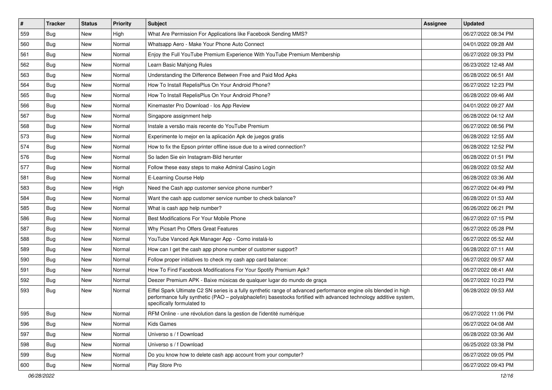| #   | <b>Tracker</b> | <b>Status</b> | Priority | Subject                                                                                                                                                                                                                                                               | <b>Assignee</b> | <b>Updated</b>      |
|-----|----------------|---------------|----------|-----------------------------------------------------------------------------------------------------------------------------------------------------------------------------------------------------------------------------------------------------------------------|-----------------|---------------------|
| 559 | Bug            | New           | High     | What Are Permission For Applications like Facebook Sending MMS?                                                                                                                                                                                                       |                 | 06/27/2022 08:34 PM |
| 560 | <b>Bug</b>     | New           | Normal   | Whatsapp Aero - Make Your Phone Auto Connect                                                                                                                                                                                                                          |                 | 04/01/2022 09:28 AM |
| 561 | Bug            | New           | Normal   | Enjoy the Full YouTube Premium Experience With YouTube Premium Membership                                                                                                                                                                                             |                 | 06/27/2022 09:33 PM |
| 562 | <b>Bug</b>     | <b>New</b>    | Normal   | Learn Basic Mahjong Rules                                                                                                                                                                                                                                             |                 | 06/23/2022 12:48 AM |
| 563 | <b>Bug</b>     | New           | Normal   | Understanding the Difference Between Free and Paid Mod Apks                                                                                                                                                                                                           |                 | 06/28/2022 06:51 AM |
| 564 | <b>Bug</b>     | <b>New</b>    | Normal   | How To Install RepelisPlus On Your Android Phone?                                                                                                                                                                                                                     |                 | 06/27/2022 12:23 PM |
| 565 | Bug            | New           | Normal   | How To Install RepelisPlus On Your Android Phone?                                                                                                                                                                                                                     |                 | 06/28/2022 09:46 AM |
| 566 | <b>Bug</b>     | New           | Normal   | Kinemaster Pro Download - los App Review                                                                                                                                                                                                                              |                 | 04/01/2022 09:27 AM |
| 567 | Bug            | New           | Normal   | Singapore assignment help                                                                                                                                                                                                                                             |                 | 06/28/2022 04:12 AM |
| 568 | <b>Bug</b>     | New           | Normal   | Instale a versão mais recente do YouTube Premium                                                                                                                                                                                                                      |                 | 06/27/2022 08:56 PM |
| 573 | Bug            | New           | Normal   | Experimente lo mejor en la aplicación Apk de juegos gratis                                                                                                                                                                                                            |                 | 06/28/2022 12:55 AM |
| 574 | Bug            | New           | Normal   | How to fix the Epson printer offline issue due to a wired connection?                                                                                                                                                                                                 |                 | 06/28/2022 12:52 PM |
| 576 | <b>Bug</b>     | <b>New</b>    | Normal   | So laden Sie ein Instagram-Bild herunter                                                                                                                                                                                                                              |                 | 06/28/2022 01:51 PM |
| 577 | <b>Bug</b>     | New           | Normal   | Follow these easy steps to make Admiral Casino Login                                                                                                                                                                                                                  |                 | 06/28/2022 03:52 AM |
| 581 | <b>Bug</b>     | <b>New</b>    | Normal   | E-Learning Course Help                                                                                                                                                                                                                                                |                 | 06/28/2022 03:36 AM |
| 583 | Bug            | New           | High     | Need the Cash app customer service phone number?                                                                                                                                                                                                                      |                 | 06/27/2022 04:49 PM |
| 584 | <b>Bug</b>     | <b>New</b>    | Normal   | Want the cash app customer service number to check balance?                                                                                                                                                                                                           |                 | 06/28/2022 01:53 AM |
| 585 | <b>Bug</b>     | New           | Normal   | What is cash app help number?                                                                                                                                                                                                                                         |                 | 06/26/2022 06:21 PM |
| 586 | Bug            | New           | Normal   | Best Modifications For Your Mobile Phone                                                                                                                                                                                                                              |                 | 06/27/2022 07:15 PM |
| 587 | <b>Bug</b>     | New           | Normal   | Why Picsart Pro Offers Great Features                                                                                                                                                                                                                                 |                 | 06/27/2022 05:28 PM |
| 588 | Bug            | New           | Normal   | YouTube Vanced Apk Manager App - Como instalá-lo                                                                                                                                                                                                                      |                 | 06/27/2022 05:52 AM |
| 589 | Bug            | New           | Normal   | How can I get the cash app phone number of customer support?                                                                                                                                                                                                          |                 | 06/28/2022 07:11 AM |
| 590 | <b>Bug</b>     | New           | Normal   | Follow proper initiatives to check my cash app card balance:                                                                                                                                                                                                          |                 | 06/27/2022 09:57 AM |
| 591 | <b>Bug</b>     | New           | Normal   | How To Find Facebook Modifications For Your Spotify Premium Apk?                                                                                                                                                                                                      |                 | 06/27/2022 08:41 AM |
| 592 | Bug            | New           | Normal   | Deezer Premium APK - Baixe músicas de qualquer lugar do mundo de graça                                                                                                                                                                                                |                 | 06/27/2022 10:23 PM |
| 593 | <b>Bug</b>     | <b>New</b>    | Normal   | Eiffel Spark Ultimate C2 SN series is a fully synthetic range of advanced performance engine oils blended in high<br>performance fully synthetic (PAO - polyalphaolefin) basestocks fortified with advanced technology additive system,<br>specifically formulated to |                 | 06/28/2022 09:53 AM |
| 595 | Bug            | New           | Normal   | RFM Online - une révolution dans la gestion de l'identité numérique                                                                                                                                                                                                   |                 | 06/27/2022 11:06 PM |
| 596 | Bug            | New           | Normal   | <b>Kids Games</b>                                                                                                                                                                                                                                                     |                 | 06/27/2022 04:08 AM |
| 597 | <b>Bug</b>     | New           | Normal   | Universo s / f Download                                                                                                                                                                                                                                               |                 | 06/28/2022 03:36 AM |
| 598 | <b>Bug</b>     | New           | Normal   | Universo s / f Download                                                                                                                                                                                                                                               |                 | 06/25/2022 03:38 PM |
| 599 | <b>Bug</b>     | New           | Normal   | Do you know how to delete cash app account from your computer?                                                                                                                                                                                                        |                 | 06/27/2022 09:05 PM |
| 600 | Bug            | New           | Normal   | Play Store Pro                                                                                                                                                                                                                                                        |                 | 06/27/2022 09:43 PM |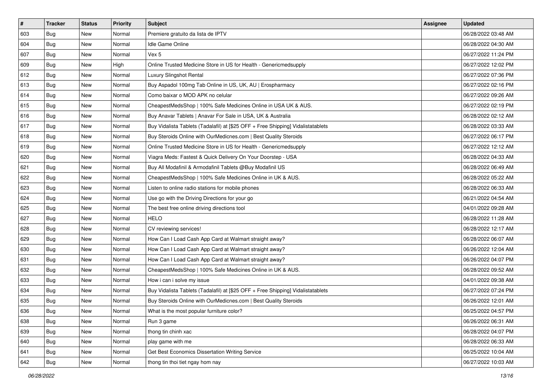| $\vert$ # | <b>Tracker</b> | <b>Status</b> | Priority | Subject                                                                          | Assignee | <b>Updated</b>      |
|-----------|----------------|---------------|----------|----------------------------------------------------------------------------------|----------|---------------------|
| 603       | Bug            | New           | Normal   | Premiere gratuito da lista de IPTV                                               |          | 06/28/2022 03:48 AM |
| 604       | Bug            | New           | Normal   | Idle Game Online                                                                 |          | 06/28/2022 04:30 AM |
| 607       | Bug            | New           | Normal   | Vex 5                                                                            |          | 06/27/2022 11:24 PM |
| 609       | Bug            | New           | High     | Online Trusted Medicine Store in US for Health - Genericmedsupply                |          | 06/27/2022 12:02 PM |
| 612       | Bug            | New           | Normal   | Luxury Slingshot Rental                                                          |          | 06/27/2022 07:36 PM |
| 613       | Bug            | New           | Normal   | Buy Aspadol 100mg Tab Online in US, UK, AU   Erospharmacy                        |          | 06/27/2022 02:16 PM |
| 614       | Bug            | New           | Normal   | Como baixar o MOD APK no celular                                                 |          | 06/27/2022 09:26 AM |
| 615       | Bug            | New           | Normal   | CheapestMedsShop   100% Safe Medicines Online in USA UK & AUS.                   |          | 06/27/2022 02:19 PM |
| 616       | Bug            | New           | Normal   | Buy Anavar Tablets   Anavar For Sale in USA, UK & Australia                      |          | 06/28/2022 02:12 AM |
| 617       | Bug            | New           | Normal   | Buy Vidalista Tablets (Tadalafil) at [\$25 OFF + Free Shipping] Vidalistatablets |          | 06/28/2022 03:33 AM |
| 618       | Bug            | New           | Normal   | Buy Steroids Online with OurMedicnes.com   Best Quality Steroids                 |          | 06/27/2022 06:17 PM |
| 619       | Bug            | New           | Normal   | Online Trusted Medicine Store in US for Health - Genericmedsupply                |          | 06/27/2022 12:12 AM |
| 620       | Bug            | <b>New</b>    | Normal   | Viagra Meds: Fastest & Quick Delivery On Your Doorstep - USA                     |          | 06/28/2022 04:33 AM |
| 621       | Bug            | New           | Normal   | Buy All Modafinil & Armodafinil Tablets @Buy Modafinil US                        |          | 06/28/2022 06:49 AM |
| 622       | Bug            | New           | Normal   | CheapestMedsShop   100% Safe Medicines Online in UK & AUS.                       |          | 06/28/2022 05:22 AM |
| 623       | Bug            | New           | Normal   | Listen to online radio stations for mobile phones                                |          | 06/28/2022 06:33 AM |
| 624       | Bug            | New           | Normal   | Use go with the Driving Directions for your go                                   |          | 06/21/2022 04:54 AM |
| 625       | Bug            | New           | Normal   | The best free online driving directions tool                                     |          | 04/01/2022 09:28 AM |
| 627       | Bug            | New           | Normal   | <b>HELO</b>                                                                      |          | 06/28/2022 11:28 AM |
| 628       | Bug            | New           | Normal   | CV reviewing services!                                                           |          | 06/28/2022 12:17 AM |
| 629       | Bug            | New           | Normal   | How Can I Load Cash App Card at Walmart straight away?                           |          | 06/28/2022 06:07 AM |
| 630       | Bug            | New           | Normal   | How Can I Load Cash App Card at Walmart straight away?                           |          | 06/26/2022 12:04 AM |
| 631       | Bug            | New           | Normal   | How Can I Load Cash App Card at Walmart straight away?                           |          | 06/26/2022 04:07 PM |
| 632       | Bug            | New           | Normal   | CheapestMedsShop   100% Safe Medicines Online in UK & AUS.                       |          | 06/28/2022 09:52 AM |
| 633       | Bug            | New           | Normal   | How i can i solve my issue                                                       |          | 04/01/2022 09:38 AM |
| 634       | Bug            | New           | Normal   | Buy Vidalista Tablets (Tadalafil) at [\$25 OFF + Free Shipping] Vidalistatablets |          | 06/27/2022 07:24 PM |
| 635       | Bug            | New           | Normal   | Buy Steroids Online with OurMedicnes.com   Best Quality Steroids                 |          | 06/26/2022 12:01 AM |
| 636       | <b>Bug</b>     | New           | Normal   | What is the most popular furniture color?                                        |          | 06/25/2022 04:57 PM |
| 638       | Bug            | New           | Normal   | Run 3 game                                                                       |          | 06/26/2022 06:31 AM |
| 639       | Bug            | New           | Normal   | thong tin chinh xac                                                              |          | 06/28/2022 04:07 PM |
| 640       | Bug            | New           | Normal   | play game with me                                                                |          | 06/28/2022 06:33 AM |
| 641       | Bug            | New           | Normal   | Get Best Economics Dissertation Writing Service                                  |          | 06/25/2022 10:04 AM |
| 642       | <b>Bug</b>     | New           | Normal   | thong tin thoi tiet ngay hom nay                                                 |          | 06/27/2022 10:03 AM |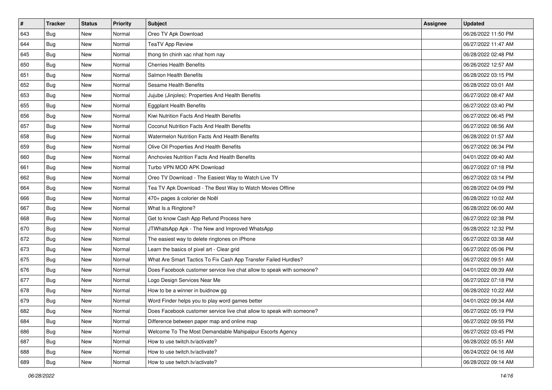| $\pmb{\#}$ | <b>Tracker</b> | <b>Status</b> | Priority | Subject                                                               | <b>Assignee</b> | <b>Updated</b>      |
|------------|----------------|---------------|----------|-----------------------------------------------------------------------|-----------------|---------------------|
| 643        | <b>Bug</b>     | New           | Normal   | Oreo TV Apk Download                                                  |                 | 06/26/2022 11:50 PM |
| 644        | <b>Bug</b>     | New           | Normal   | <b>TeaTV App Review</b>                                               |                 | 06/27/2022 11:47 AM |
| 645        | Bug            | New           | Normal   | thong tin chinh xac nhat hom nay                                      |                 | 06/28/2022 02:48 PM |
| 650        | <b>Bug</b>     | <b>New</b>    | Normal   | <b>Cherries Health Benefits</b>                                       |                 | 06/26/2022 12:57 AM |
| 651        | <b>Bug</b>     | New           | Normal   | Salmon Health Benefits                                                |                 | 06/28/2022 03:15 PM |
| 652        | <b>Bug</b>     | New           | Normal   | Sesame Health Benefits                                                |                 | 06/28/2022 03:01 AM |
| 653        | <b>Bug</b>     | New           | Normal   | Jujube (Jinjoles): Properties And Health Benefits                     |                 | 06/27/2022 08:47 AM |
| 655        | <b>Bug</b>     | New           | Normal   | <b>Eggplant Health Benefits</b>                                       |                 | 06/27/2022 03:40 PM |
| 656        | <b>Bug</b>     | New           | Normal   | Kiwi Nutrition Facts And Health Benefits                              |                 | 06/27/2022 06:45 PM |
| 657        | <b>Bug</b>     | New           | Normal   | Coconut Nutrition Facts And Health Benefits                           |                 | 06/27/2022 08:56 AM |
| 658        | Bug            | New           | Normal   | Watermelon Nutrition Facts And Health Benefits                        |                 | 06/28/2022 01:57 AM |
| 659        | Bug            | New           | Normal   | Olive Oil Properties And Health Benefits                              |                 | 06/27/2022 06:34 PM |
| 660        | Bug            | <b>New</b>    | Normal   | <b>Anchovies Nutrition Facts And Health Benefits</b>                  |                 | 04/01/2022 09:40 AM |
| 661        | <b>Bug</b>     | New           | Normal   | Turbo VPN MOD APK Download                                            |                 | 06/27/2022 07:18 PM |
| 662        | <b>Bug</b>     | New           | Normal   | Oreo TV Download - The Easiest Way to Watch Live TV                   |                 | 06/27/2022 03:14 PM |
| 664        | Bug            | New           | Normal   | Tea TV Apk Download - The Best Way to Watch Movies Offline            |                 | 06/28/2022 04:09 PM |
| 666        | <b>Bug</b>     | New           | Normal   | 470+ pages à colorier de Noël                                         |                 | 06/28/2022 10:02 AM |
| 667        | Bug            | New           | Normal   | What Is a Ringtone?                                                   |                 | 06/28/2022 06:00 AM |
| 668        | <b>Bug</b>     | New           | Normal   | Get to know Cash App Refund Process here                              |                 | 06/27/2022 02:38 PM |
| 670        | <b>Bug</b>     | New           | Normal   | JTWhatsApp Apk - The New and Improved WhatsApp                        |                 | 06/28/2022 12:32 PM |
| 672        | Bug            | New           | Normal   | The easiest way to delete ringtones on iPhone                         |                 | 06/27/2022 03:38 AM |
| 673        | Bug            | New           | Normal   | Learn the basics of pixel art - Clear grid                            |                 | 06/27/2022 05:06 PM |
| 675        | <b>Bug</b>     | New           | Normal   | What Are Smart Tactics To Fix Cash App Transfer Failed Hurdles?       |                 | 06/27/2022 09:51 AM |
| 676        | Bug            | New           | Normal   | Does Facebook customer service live chat allow to speak with someone? |                 | 04/01/2022 09:39 AM |
| 677        | <b>Bug</b>     | New           | Normal   | Logo Design Services Near Me                                          |                 | 06/27/2022 07:18 PM |
| 678        | <b>Bug</b>     | <b>New</b>    | Normal   | How to be a winner in buidnow gg                                      |                 | 06/28/2022 10:22 AM |
| 679        | <b>Bug</b>     | New           | Normal   | Word Finder helps you to play word games better                       |                 | 04/01/2022 09:34 AM |
| 682        | <b>Bug</b>     | New           | Normal   | Does Facebook customer service live chat allow to speak with someone? |                 | 06/27/2022 05:19 PM |
| 684        | Bug            | New           | Normal   | Difference between paper map and online map                           |                 | 06/27/2022 09:55 PM |
| 686        | Bug            | New           | Normal   | Welcome To The Most Demandable Mahipalpur Escorts Agency              |                 | 06/27/2022 03:45 PM |
| 687        | Bug            | New           | Normal   | How to use twitch.tv/activate?                                        |                 | 06/28/2022 05:51 AM |
| 688        | Bug            | New           | Normal   | How to use twitch.tv/activate?                                        |                 | 06/24/2022 04:16 AM |
| 689        | Bug            | New           | Normal   | How to use twitch.tv/activate?                                        |                 | 06/28/2022 09:14 AM |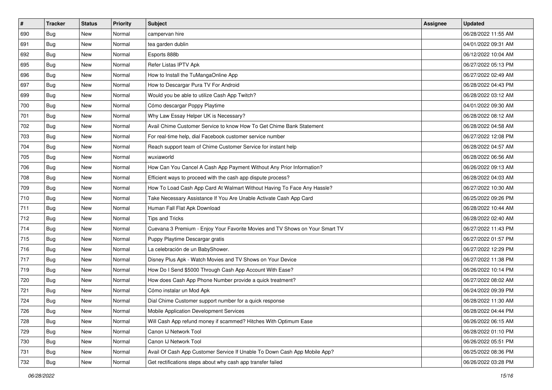| $\pmb{\#}$ | Tracker    | <b>Status</b> | Priority | Subject                                                                      | Assignee | <b>Updated</b>      |
|------------|------------|---------------|----------|------------------------------------------------------------------------------|----------|---------------------|
| 690        | <b>Bug</b> | New           | Normal   | campervan hire                                                               |          | 06/28/2022 11:55 AM |
| 691        | <b>Bug</b> | New           | Normal   | tea garden dublin                                                            |          | 04/01/2022 09:31 AM |
| 692        | <b>Bug</b> | New           | Normal   | Esports 888b                                                                 |          | 06/12/2022 10:04 AM |
| 695        | Bug        | New           | Normal   | Refer Listas IPTV Apk                                                        |          | 06/27/2022 05:13 PM |
| 696        | <b>Bug</b> | New           | Normal   | How to Install the TuMangaOnline App                                         |          | 06/27/2022 02:49 AM |
| 697        | <b>Bug</b> | New           | Normal   | How to Descargar Pura TV For Android                                         |          | 06/28/2022 04:43 PM |
| 699        | <b>Bug</b> | <b>New</b>    | Normal   | Would you be able to utilize Cash App Twitch?                                |          | 06/28/2022 03:12 AM |
| 700        | Bug        | New           | Normal   | Cómo descargar Poppy Playtime                                                |          | 04/01/2022 09:30 AM |
| 701        | <b>Bug</b> | New           | Normal   | Why Law Essay Helper UK is Necessary?                                        |          | 06/28/2022 08:12 AM |
| 702        | Bug        | New           | Normal   | Avail Chime Customer Service to know How To Get Chime Bank Statement         |          | 06/28/2022 04:58 AM |
| 703        | <b>Bug</b> | New           | Normal   | For real-time help, dial Facebook customer service number                    |          | 06/27/2022 12:08 PM |
| 704        | <b>Bug</b> | New           | Normal   | Reach support team of Chime Customer Service for instant help                |          | 06/28/2022 04:57 AM |
| 705        | Bug        | New           | Normal   | wuxiaworld                                                                   |          | 06/28/2022 06:56 AM |
| 706        | <b>Bug</b> | New           | Normal   | How Can You Cancel A Cash App Payment Without Any Prior Information?         |          | 06/26/2022 09:13 AM |
| 708        | Bug        | New           | Normal   | Efficient ways to proceed with the cash app dispute process?                 |          | 06/28/2022 04:03 AM |
| 709        | <b>Bug</b> | New           | Normal   | How To Load Cash App Card At Walmart Without Having To Face Any Hassle?      |          | 06/27/2022 10:30 AM |
| 710        | <b>Bug</b> | New           | Normal   | Take Necessary Assistance If You Are Unable Activate Cash App Card           |          | 06/25/2022 09:26 PM |
| 711        | <b>Bug</b> | New           | Normal   | Human Fall Flat Apk Download                                                 |          | 06/28/2022 10:44 AM |
| 712        | <b>Bug</b> | New           | Normal   | <b>Tips and Tricks</b>                                                       |          | 06/28/2022 02:40 AM |
| 714        | <b>Bug</b> | New           | Normal   | Cuevana 3 Premium - Enjoy Your Favorite Movies and TV Shows on Your Smart TV |          | 06/27/2022 11:43 PM |
| 715        | Bug        | New           | Normal   | Puppy Playtime Descargar gratis                                              |          | 06/27/2022 01:57 PM |
| 716        | Bug        | New           | Normal   | La celebración de un BabyShower.                                             |          | 06/27/2022 12:29 PM |
| 717        | Bug        | <b>New</b>    | Normal   | Disney Plus Apk - Watch Movies and TV Shows on Your Device                   |          | 06/27/2022 11:38 PM |
| 719        | <b>Bug</b> | New           | Normal   | How Do I Send \$5000 Through Cash App Account With Ease?                     |          | 06/26/2022 10:14 PM |
| 720        | <b>Bug</b> | New           | Normal   | How does Cash App Phone Number provide a quick treatment?                    |          | 06/27/2022 08:02 AM |
| 721        | Bug        | New           | Normal   | Cómo instalar un Mod Apk                                                     |          | 06/24/2022 09:39 PM |
| 724        | <b>Bug</b> | New           | Normal   | Dial Chime Customer support number for a quick response                      |          | 06/28/2022 11:30 AM |
| 726        | <b>Bug</b> | New           | Normal   | Mobile Application Development Services                                      |          | 06/28/2022 04:44 PM |
| 728        | <b>Bug</b> | New           | Normal   | Will Cash App refund money if scammed? Hitches With Optimum Ease             |          | 06/26/2022 06:15 AM |
| 729        | Bug        | New           | Normal   | Canon IJ Network Tool                                                        |          | 06/28/2022 01:10 PM |
| 730        | Bug        | New           | Normal   | Canon IJ Network Tool                                                        |          | 06/26/2022 05:51 PM |
| 731        | <b>Bug</b> | New           | Normal   | Avail Of Cash App Customer Service If Unable To Down Cash App Mobile App?    |          | 06/25/2022 08:36 PM |
| 732        | Bug        | New           | Normal   | Get rectifications steps about why cash app transfer failed                  |          | 06/26/2022 03:28 PM |